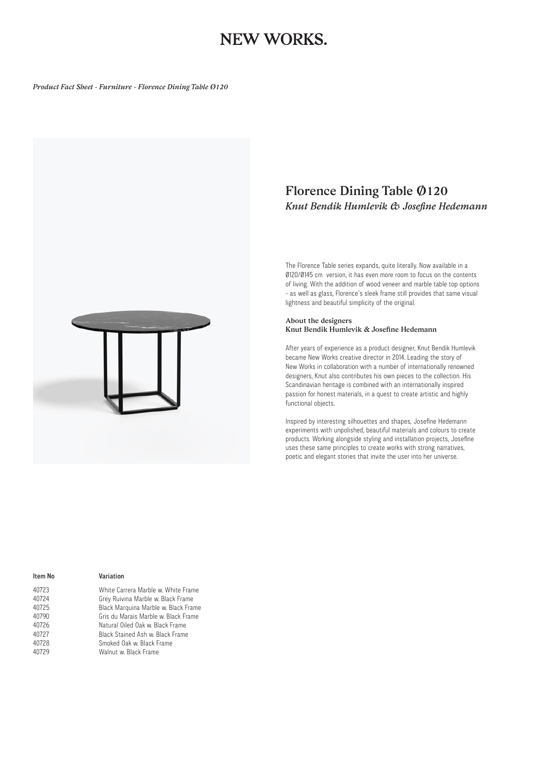# NEW WORKS.

*Product Fact Sheet - Furniture - Florence Dining Table Ø120* 



### *Florence Dining Table Ø120 Knut Bendik Humlevik & Josefine Hedemann*

The Florence Table series expands, quite literally. Now available in a Ø120/Ø145 cm version, it has even more room to focus on the contents of living. With the addition of wood veneer and marble table top options - as well as glass, Florence's sleek frame still provides that same visual lightness and beautiful simplicity of the original.

#### *About the designers Knut Bendik Humlevik & Josefine Hedemann*

After years of experience as a product designer, Knut Bendik Humlevik became New Works creative director in 2014. Leading the story of New Works in collaboration with a number of internationally renowned designers, Knut also contributes his own pieces to the collection. His Scandinavian heritage is combined with an internationally inspired passion for honest materials, in a quest to create artistic and highly functional objects.

Inspired by interesting silhouettes and shapes, Josefine Hedemann experiments with unpolished, beautiful materials and colours to create products. Working alongside styling and installation projects, Josefine uses these same principles to create works with strong narratives, poetic and elegant stories that invite the user into her universe.

| ltem No | Variation                            |
|---------|--------------------------------------|
| 40723   | White Carrera Marble w. White Frame  |
| 40724   | Grey Ruivina Marble w. Black Frame   |
| 40725   | Black Marquina Marble w. Black Frame |
| 40790   | Gris du Marais Marble w. Black Frame |
| 40726   | Natural Oiled Oak w. Black Frame     |
| 40727   | Black Stained Ash w. Black Frame     |
| 40728   | Smoked Oak w. Black Frame            |
| 40729   | Walnut w. Black Frame                |
|         |                                      |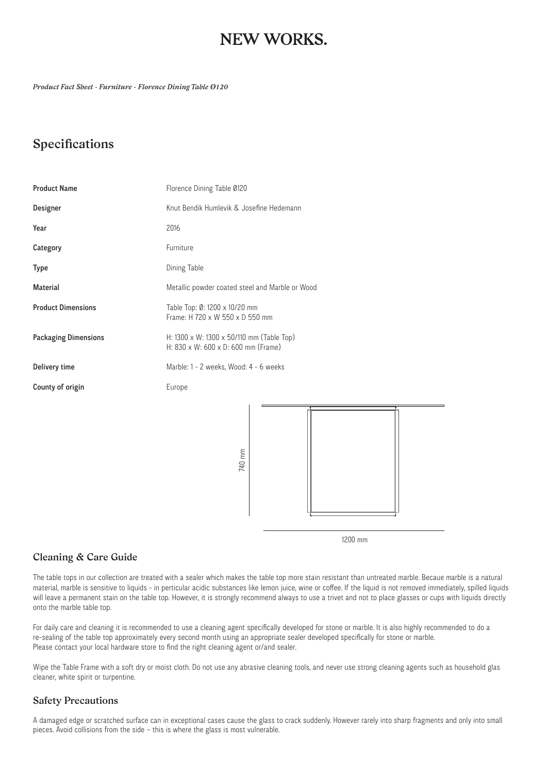# NEW WORKS.

*Product Fact Sheet - Furniture - Florence Dining Table Ø120* 

## *Specifications*

| <b>Product Name</b>         | Florence Dining Table 0120                                                       |
|-----------------------------|----------------------------------------------------------------------------------|
| Designer                    | Knut Bendik Humlevik & Josefine Hedemann                                         |
| Year                        | 2016                                                                             |
| Category                    | Furniture                                                                        |
| <b>Type</b>                 | Dining Table                                                                     |
| <b>Material</b>             | Metallic powder coated steel and Marble or Wood                                  |
| <b>Product Dimensions</b>   | Table Top: 0: 1200 x 10/20 mm<br>Frame: H 720 x W 550 x D 550 mm                 |
| <b>Packaging Dimensions</b> | H: 1300 x W: 1300 x 50/110 mm (Table Top)<br>H: 830 x W: 600 x D: 600 mm (Frame) |
| Delivery time               | Marble: 1 - 2 weeks, Wood: 4 - 6 weeks                                           |
| County of origin            | Europe                                                                           |
|                             | 740 mm                                                                           |

1200 mm

#### *Cleaning & Care Guide*

The table tops in our collection are treated with a sealer which makes the table top more stain resistant than untreated marble. Becaue marble is a natural material, marble is sensitive to liquids - in perticular acidic substances like lemon juice, wine or coffee. If the liquid is not removed immediately, spilled liquids will leave a permanent stain on the table top. However, it is strongly recommend always to use a trivet and not to place glasses or cups with liquids directly onto the marble table top.

For daily care and cleaning it is recommended to use a cleaning agent specifically developed for stone or marble. It is also highly recommended to do a re-sealing of the table top approximately every second month using an appropriate sealer developed specifically for stone or marble. Please contact your local hardware store to find the right cleaning agent or/and sealer.

Wipe the Table Frame with a soft dry or moist cloth. Do not use any abrasive cleaning tools, and never use strong cleaning agents such as household glas cleaner, white spirit or turpentine.

### *Safety Precautions*

A damaged edge or scratched surface can in exceptional cases cause the glass to crack suddenly. However rarely into sharp fragments and only into small pieces. Avoid collisions from the side – this is where the glass is most vulnerable.